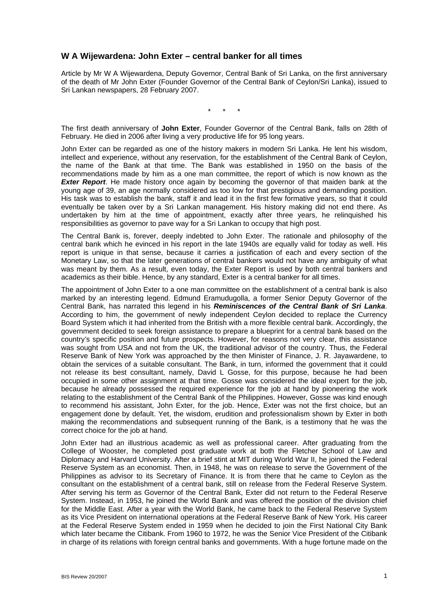## **W A Wijewardena: John Exter – central banker for all times**

Article by Mr W A Wijewardena, Deputy Governor, Central Bank of Sri Lanka, on the first anniversary of the death of Mr John Exter (Founder Governor of the Central Bank of Ceylon/Sri Lanka), issued to Sri Lankan newspapers, 28 February 2007.

\* \* \*

The first death anniversary of **John Exter**, Founder Governor of the Central Bank, falls on 28th of February. He died in 2006 after living a very productive life for 95 long years.

John Exter can be regarded as one of the history makers in modern Sri Lanka. He lent his wisdom, intellect and experience, without any reservation, for the establishment of the Central Bank of Ceylon, the name of the Bank at that time. The Bank was established in 1950 on the basis of the recommendations made by him as a one man committee, the report of which is now known as the *Exter Report*. He made history once again by becoming the governor of that maiden bank at the young age of 39, an age normally considered as too low for that prestigious and demanding position. His task was to establish the bank, staff it and lead it in the first few formative years, so that it could eventually be taken over by a Sri Lankan management. His history making did not end there. As undertaken by him at the time of appointment, exactly after three years, he relinquished his responsibilities as governor to pave way for a Sri Lankan to occupy that high post.

The Central Bank is, forever, deeply indebted to John Exter. The rationale and philosophy of the central bank which he evinced in his report in the late 1940s are equally valid for today as well. His report is unique in that sense, because it carries a justification of each and every section of the Monetary Law, so that the later generations of central bankers would not have any ambiguity of what was meant by them. As a result, even today, the Exter Report is used by both central bankers and academics as their bible. Hence, by any standard, Exter is a central banker for all times.

The appointment of John Exter to a one man committee on the establishment of a central bank is also marked by an interesting legend. Edmund Eramudugolla, a former Senior Deputy Governor of the Central Bank, has narrated this legend in his *Reminiscences of the Central Bank of Sri Lanka*. According to him, the government of newly independent Ceylon decided to replace the Currency Board System which it had inherited from the British with a more flexible central bank. Accordingly, the government decided to seek foreign assistance to prepare a blueprint for a central bank based on the country's specific position and future prospects. However, for reasons not very clear, this assistance was sought from USA and not from the UK, the traditional advisor of the country. Thus, the Federal Reserve Bank of New York was approached by the then Minister of Finance, J. R. Jayawardene, to obtain the services of a suitable consultant. The Bank, in turn, informed the government that it could not release its best consultant, namely, David L Gosse, for this purpose, because he had been occupied in some other assignment at that time. Gosse was considered the ideal expert for the job, because he already possessed the required experience for the job at hand by pioneering the work relating to the establishment of the Central Bank of the Philippines. However, Gosse was kind enough to recommend his assistant, John Exter, for the job. Hence, Exter was not the first choice, but an engagement done by default. Yet, the wisdom, erudition and professionalism shown by Exter in both making the recommendations and subsequent running of the Bank, is a testimony that he was the correct choice for the job at hand.

John Exter had an illustrious academic as well as professional career. After graduating from the College of Wooster, he completed post graduate work at both the Fletcher School of Law and Diplomacy and Harvard University. After a brief stint at MIT during World War II, he joined the Federal Reserve System as an economist. Then, in 1948, he was on release to serve the Government of the Philippines as advisor to its Secretary of Finance. It is from there that he came to Ceylon as the consultant on the establishment of a central bank, still on release from the Federal Reserve System. After serving his term as Governor of the Central Bank, Exter did not return to the Federal Reserve System. Instead, in 1953, he joined the World Bank and was offered the position of the division chief for the Middle East. After a year with the World Bank, he came back to the Federal Reserve System as its Vice President on international operations at the Federal Reserve Bank of New York. His career at the Federal Reserve System ended in 1959 when he decided to join the First National City Bank which later became the Citibank. From 1960 to 1972, he was the Senior Vice President of the Citibank in charge of its relations with foreign central banks and governments. With a huge fortune made on the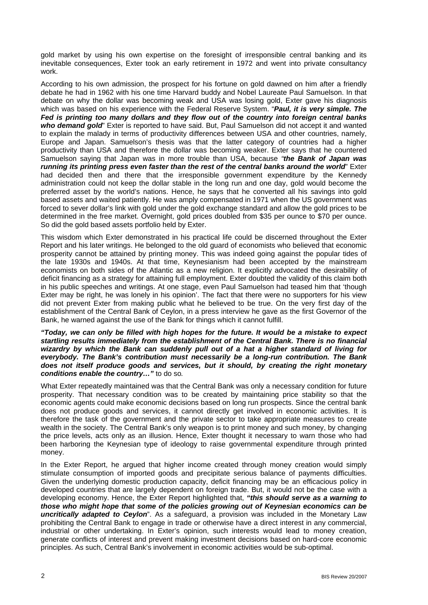gold market by using his own expertise on the foresight of irresponsible central banking and its inevitable consequences, Exter took an early retirement in 1972 and went into private consultancy work.

According to his own admission, the prospect for his fortune on gold dawned on him after a friendly debate he had in 1962 with his one time Harvard buddy and Nobel Laureate Paul Samuelson. In that debate on why the dollar was becoming weak and USA was losing gold, Exter gave his diagnosis which was based on his experience with the Federal Reserve System. "*Paul, it is very simple. The Fed is printing too many dollars and they flow out of the country into foreign central banks who demand gold*" Exter is reported to have said. But, Paul Samuelson did not accept it and wanted to explain the malady in terms of productivity differences between USA and other countries, namely, Europe and Japan. Samuelson's thesis was that the latter category of countries had a higher productivity than USA and therefore the dollar was becoming weaker. Exter says that he countered Samuelson saying that Japan was in more trouble than USA, because *"the Bank of Japan was running its printing press even faster than the rest of the central banks around the world*" Exter had decided then and there that the irresponsible government expenditure by the Kennedy administration could not keep the dollar stable in the long run and one day, gold would become the preferred asset by the world's nations. Hence, he says that he converted all his savings into gold based assets and waited patiently. He was amply compensated in 1971 when the US government was forced to sever dollar's link with gold under the gold exchange standard and allow the gold prices to be determined in the free market. Overnight, gold prices doubled from \$35 per ounce to \$70 per ounce. So did the gold based assets portfolio held by Exter.

This wisdom which Exter demonstrated in his practical life could be discerned throughout the Exter Report and his later writings. He belonged to the old guard of economists who believed that economic prosperity cannot be attained by printing money. This was indeed going against the popular tides of the late 1930s and 1940s. At that time, Keynesianism had been accepted by the mainstream economists on both sides of the Atlantic as a new religion. It explicitly advocated the desirability of deficit financing as a strategy for attaining full employment. Exter doubted the validity of this claim both in his public speeches and writings. At one stage, even Paul Samuelson had teased him that 'though Exter may be right, he was lonely in his opinion'. The fact that there were no supporters for his view did not prevent Exter from making public what he believed to be true. On the very first day of the establishment of the Central Bank of Ceylon, in a press interview he gave as the first Governor of the Bank, he warned against the use of the Bank for things which it cannot fulfill.

*"Today, we can only be filled with high hopes for the future. It would be a mistake to expect startling results immediately from the establishment of the Central Bank. There is no financial wizardry by which the Bank can suddenly pull out of a hat a higher standard of living for everybody. The Bank's contribution must necessarily be a long-run contribution. The Bank does not itself produce goods and services, but it should, by creating the right monetary conditions enable the country…"* to do so*.* 

What Exter repeatedly maintained was that the Central Bank was only a necessary condition for future prosperity. That necessary condition was to be created by maintaining price stability so that the economic agents could make economic decisions based on long run prospects. Since the central bank does not produce goods and services, it cannot directly get involved in economic activities. It is therefore the task of the government and the private sector to take appropriate measures to create wealth in the society. The Central Bank's only weapon is to print money and such money, by changing the price levels, acts only as an illusion. Hence, Exter thought it necessary to warn those who had been harboring the Keynesian type of ideology to raise governmental expenditure through printed money.

In the Exter Report, he argued that higher income created through money creation would simply stimulate consumption of imported goods and precipitate serious balance of payments difficulties. Given the underlying domestic production capacity, deficit financing may be an efficacious policy in developed countries that are largely dependent on foreign trade. But, it would not be the case with a developing economy. Hence, the Exter Report highlighted that, *"this should serve as a warning to those who might hope that some of the policies growing out of Keynesian economics can be uncritically adapted to Ceylon*". As a safeguard, a provision was included in the Monetary Law prohibiting the Central Bank to engage in trade or otherwise have a direct interest in any commercial, industrial or other undertaking. In Exter's opinion, such interests would lead to money creation, generate conflicts of interest and prevent making investment decisions based on hard-core economic principles. As such, Central Bank's involvement in economic activities would be sub-optimal.